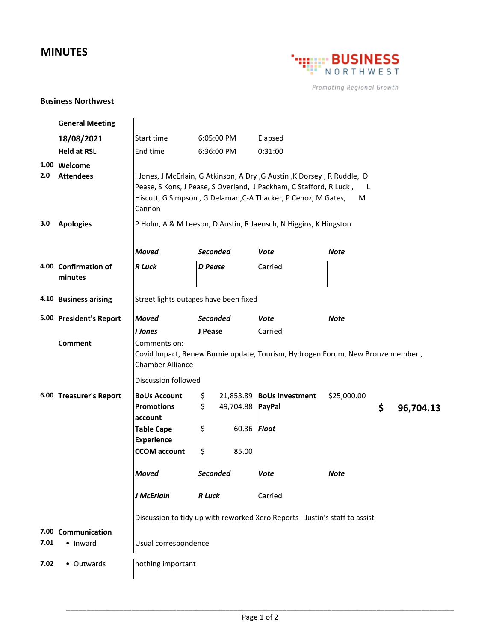## **MINUTES**



Promoting Regional Growth

## **Business Northwest**

|      | <b>General Meeting</b>           |                                                                                                                                                                                                                                      |                 |                  |                           |             |    |           |  |  |
|------|----------------------------------|--------------------------------------------------------------------------------------------------------------------------------------------------------------------------------------------------------------------------------------|-----------------|------------------|---------------------------|-------------|----|-----------|--|--|
|      | 18/08/2021                       | Start time                                                                                                                                                                                                                           | 6:05:00 PM      |                  | Elapsed                   |             |    |           |  |  |
|      | <b>Held at RSL</b>               | End time                                                                                                                                                                                                                             | 6:36:00 PM      |                  | 0:31:00                   |             |    |           |  |  |
| 2.0  | 1.00 Welcome<br><b>Attendees</b> | I Jones, J McErlain, G Atkinson, A Dry, G Austin, K Dorsey, R Ruddle, D<br>Pease, S Kons, J Pease, S Overland, J Packham, C Stafford, R Luck,<br>- L<br>Hiscutt, G Simpson, G Delamar, C-A Thacker, P Cenoz, M Gates,<br>M<br>Cannon |                 |                  |                           |             |    |           |  |  |
| 3.0  | <b>Apologies</b>                 | P Holm, A & M Leeson, D Austin, R Jaensch, N Higgins, K Hingston                                                                                                                                                                     |                 |                  |                           |             |    |           |  |  |
|      |                                  | <b>Moved</b>                                                                                                                                                                                                                         | <b>Seconded</b> |                  | Vote                      | <b>Note</b> |    |           |  |  |
|      | 4.00 Confirmation of<br>minutes  | <b>R</b> Luck                                                                                                                                                                                                                        | <b>D</b> Pease  |                  | Carried                   |             |    |           |  |  |
|      | 4.10 Business arising            | Street lights outages have been fixed                                                                                                                                                                                                |                 |                  |                           |             |    |           |  |  |
|      | 5.00 President's Report          | <b>Moved</b>                                                                                                                                                                                                                         | <b>Seconded</b> |                  | Vote                      | Note        |    |           |  |  |
|      | <b>Comment</b>                   | I Jones<br>Carried<br>J Pease<br>Comments on:<br>Covid Impact, Renew Burnie update, Tourism, Hydrogen Forum, New Bronze member,<br><b>Chamber Alliance</b>                                                                           |                 |                  |                           |             |    |           |  |  |
|      |                                  | <b>Discussion followed</b>                                                                                                                                                                                                           |                 |                  |                           |             |    |           |  |  |
|      | 6.00 Treasurer's Report          | <b>BoUs Account</b><br><b>Promotions</b><br>account                                                                                                                                                                                  | \$<br>\$        | 49,704.88 PayPal | 21,853.89 BoUs Investment | \$25,000.00 | \$ | 96,704.13 |  |  |
|      |                                  | <b>Table Cape</b><br><b>Experience</b>                                                                                                                                                                                               | \$              | 60.36 Float      |                           |             |    |           |  |  |
|      |                                  | <b>CCOM</b> account                                                                                                                                                                                                                  | \$              | 85.00            |                           |             |    |           |  |  |
|      |                                  | <b>Moved</b>                                                                                                                                                                                                                         | Seconded        |                  | Vote                      | <b>Note</b> |    |           |  |  |
|      |                                  | J McErlain                                                                                                                                                                                                                           | <b>R</b> Luck   |                  | Carried                   |             |    |           |  |  |
|      |                                  | Discussion to tidy up with reworked Xero Reports - Justin's staff to assist                                                                                                                                                          |                 |                  |                           |             |    |           |  |  |
| 7.01 | 7.00 Communication<br>• Inward   | Usual correspondence                                                                                                                                                                                                                 |                 |                  |                           |             |    |           |  |  |
| 7.02 | • Outwards                       | nothing important                                                                                                                                                                                                                    |                 |                  |                           |             |    |           |  |  |